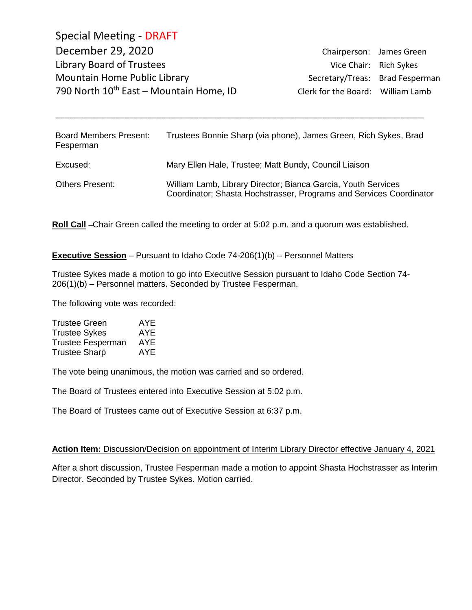Special Meeting - DRAFT December 29, 2020 Chairperson: James Green Library Board of Trustees Vice Chair: Rich Sykes Mountain Home Public Library **Secretary/Treas: Brad Fesperman** 790 North  $10^{th}$  East – Mountain Home, ID Clerk for the Board: William Lamb

| <b>Board Members Present:</b><br>Fesperman | Trustees Bonnie Sharp (via phone), James Green, Rich Sykes, Brad                                                                     |
|--------------------------------------------|--------------------------------------------------------------------------------------------------------------------------------------|
| Excused:                                   | Mary Ellen Hale, Trustee; Matt Bundy, Council Liaison                                                                                |
| <b>Others Present:</b>                     | William Lamb, Library Director; Bianca Garcia, Youth Services<br>Coordinator; Shasta Hochstrasser, Programs and Services Coordinator |

\_\_\_\_\_\_\_\_\_\_\_\_\_\_\_\_\_\_\_\_\_\_\_\_\_\_\_\_\_\_\_\_\_\_\_\_\_\_\_\_\_\_\_\_\_\_\_\_\_\_\_\_\_\_\_\_\_\_\_\_\_\_\_\_\_\_\_\_\_\_\_\_\_\_\_\_\_\_\_\_

**Roll Call** –Chair Green called the meeting to order at 5:02 p.m. and a quorum was established.

**Executive Session** – Pursuant to Idaho Code 74-206(1)(b) – Personnel Matters

Trustee Sykes made a motion to go into Executive Session pursuant to Idaho Code Section 74- 206(1)(b) – Personnel matters. Seconded by Trustee Fesperman.

The following vote was recorded:

| <b>Trustee Green</b>     | AYE |
|--------------------------|-----|
| <b>Trustee Sykes</b>     | AYE |
| <b>Trustee Fesperman</b> | AYE |
| <b>Trustee Sharp</b>     | AYE |

The vote being unanimous, the motion was carried and so ordered.

The Board of Trustees entered into Executive Session at 5:02 p.m.

The Board of Trustees came out of Executive Session at 6:37 p.m.

## **Action Item:** Discussion/Decision on appointment of Interim Library Director effective January 4, 2021

After a short discussion, Trustee Fesperman made a motion to appoint Shasta Hochstrasser as Interim Director. Seconded by Trustee Sykes. Motion carried.